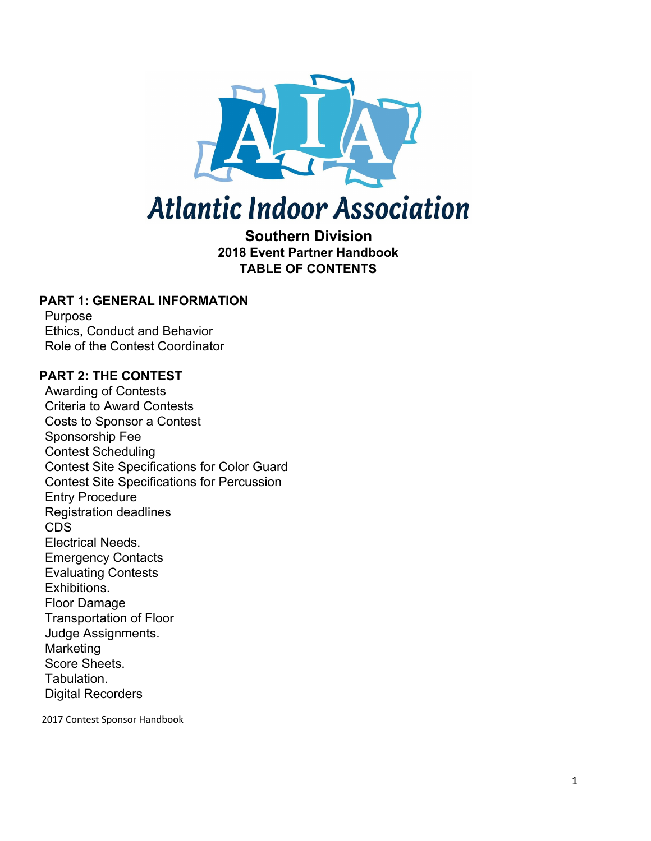

# **Atlantic Indoor Association**

#### **Southern Division 2018 Event Partner Handbook TABLE OF CONTENTS**

#### **PART 1: GENERAL INFORMATION**

Purpose Ethics, Conduct and Behavior Role of the Contest Coordinator

#### **PART 2: THE CONTEST**

Awarding of Contests Criteria to Award Contests Costs to Sponsor a Contest Sponsorship Fee Contest Scheduling Contest Site Specifications for Color Guard Contest Site Specifications for Percussion Entry Procedure Registration deadlines CDS Electrical Needs. Emergency Contacts Evaluating Contests Exhibitions. Floor Damage Transportation of Floor Judge Assignments. Marketing Score Sheets. Tabulation. Digital Recorders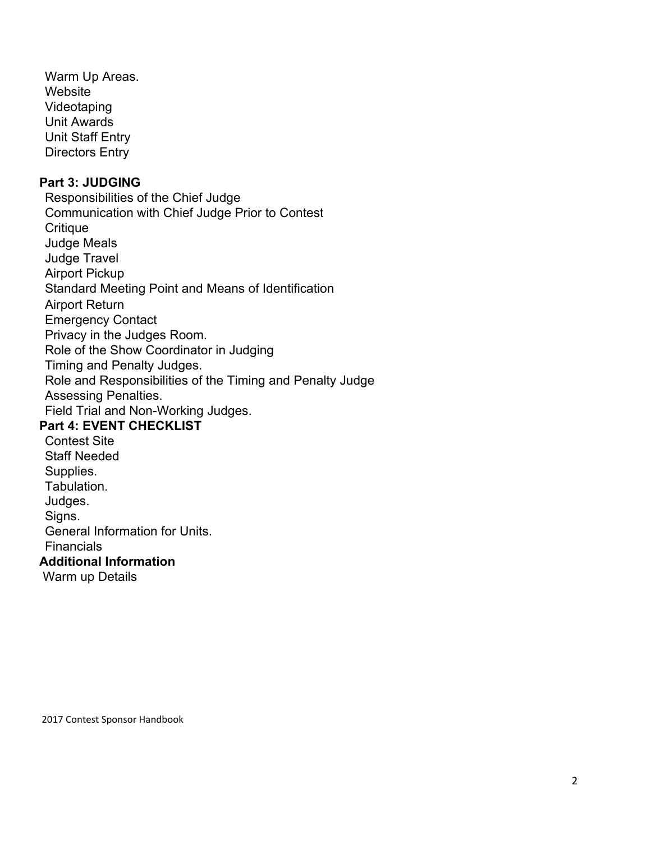Warm Up Areas. Website Videotaping Unit Awards Unit Staff Entry Directors Entry

#### **Part 3: JUDGING**

Responsibilities of the Chief Judge Communication with Chief Judge Prior to Contest **Critique** Judge Meals Judge Travel Airport Pickup Standard Meeting Point and Means of Identification Airport Return Emergency Contact Privacy in the Judges Room. Role of the Show Coordinator in Judging Timing and Penalty Judges. Role and Responsibilities of the Timing and Penalty Judge Assessing Penalties. Field Trial and Non-Working Judges. **Part 4: EVENT CHECKLIST** Contest Site

Staff Needed Supplies. Tabulation. Judges. Signs. General Information for Units. **Financials Additional Information** Warm up Details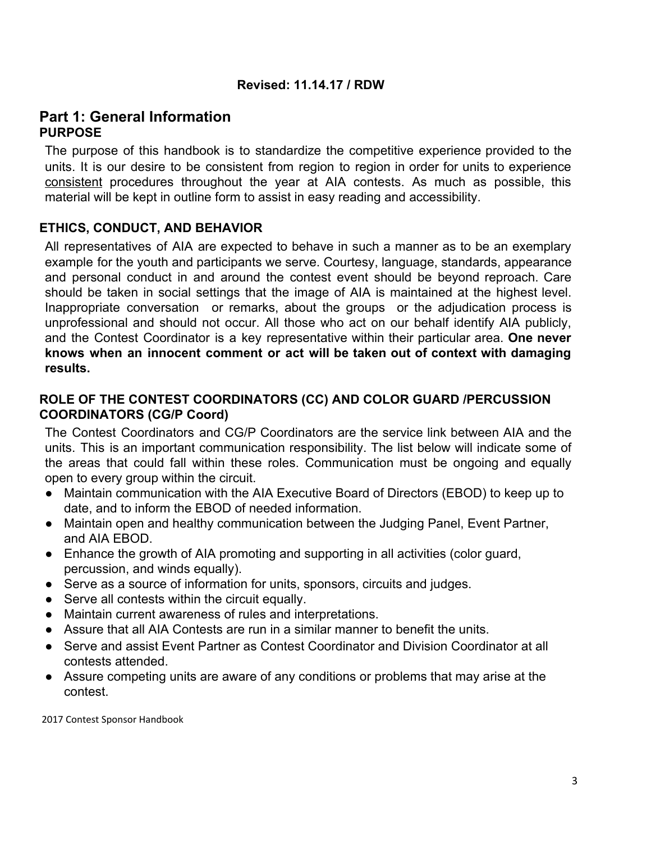#### **Revised: 11.14.17 / RDW**

#### **Part 1: General Information PURPOSE**

The purpose of this handbook is to standardize the competitive experience provided to the units. It is our desire to be consistent from region to region in order for units to experience consistent procedures throughout the year at AIA contests. As much as possible, this material will be kept in outline form to assist in easy reading and accessibility.

#### **ETHICS, CONDUCT, AND BEHAVIOR**

All representatives of AIA are expected to behave in such a manner as to be an exemplary example for the youth and participants we serve. Courtesy, language, standards, appearance and personal conduct in and around the contest event should be beyond reproach. Care should be taken in social settings that the image of AIA is maintained at the highest level. Inappropriate conversation or remarks, about the groups or the adjudication process is unprofessional and should not occur. All those who act on our behalf identify AIA publicly, and the Contest Coordinator is a key representative within their particular area. **One never knows when an innocent comment or act will be taken out of context with damaging results.**

#### **ROLE OF THE CONTEST COORDINATORS (CC) AND COLOR GUARD /PERCUSSION COORDINATORS (CG/P Coord)**

The Contest Coordinators and CG/P Coordinators are the service link between AIA and the units. This is an important communication responsibility. The list below will indicate some of the areas that could fall within these roles. Communication must be ongoing and equally open to every group within the circuit.

- Maintain communication with the AIA Executive Board of Directors (EBOD) to keep up to date, and to inform the EBOD of needed information.
- Maintain open and healthy communication between the Judging Panel, Event Partner, and AIA EBOD.
- Enhance the growth of AIA promoting and supporting in all activities (color guard, percussion, and winds equally).
- Serve as a source of information for units, sponsors, circuits and judges.
- Serve all contests within the circuit equally.
- Maintain current awareness of rules and interpretations.
- Assure that all AIA Contests are run in a similar manner to benefit the units.
- Serve and assist Event Partner as Contest Coordinator and Division Coordinator at all contests attended.
- Assure competing units are aware of any conditions or problems that may arise at the contest.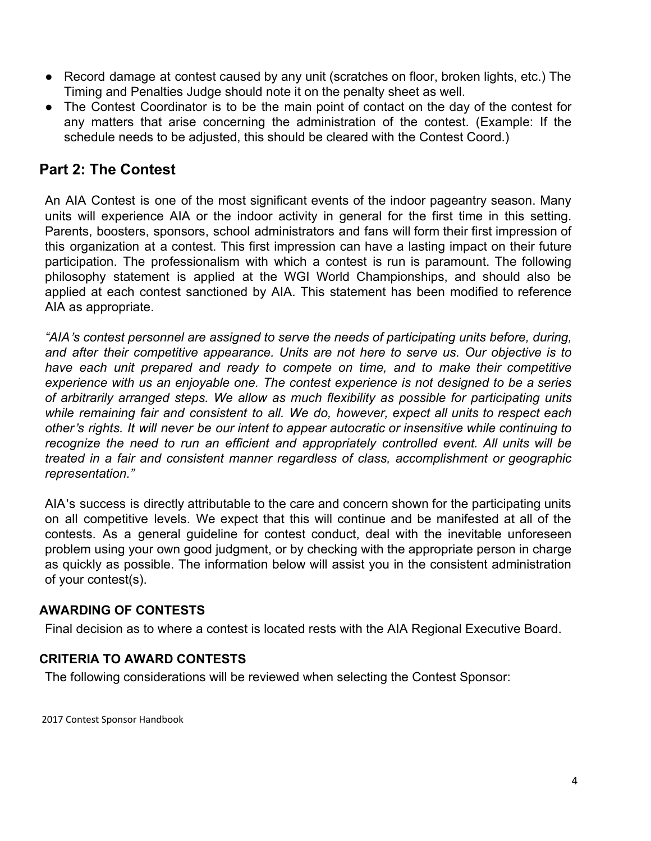- Record damage at contest caused by any unit (scratches on floor, broken lights, etc.) The Timing and Penalties Judge should note it on the penalty sheet as well.
- The Contest Coordinator is to be the main point of contact on the day of the contest for any matters that arise concerning the administration of the contest. (Example: If the schedule needs to be adjusted, this should be cleared with the Contest Coord.)

### **Part 2: The Contest**

An AIA Contest is one of the most significant events of the indoor pageantry season. Many units will experience AIA or the indoor activity in general for the first time in this setting. Parents, boosters, sponsors, school administrators and fans will form their first impression of this organization at a contest. This first impression can have a lasting impact on their future participation. The professionalism with which a contest is run is paramount. The following philosophy statement is applied at the WGI World Championships, and should also be applied at each contest sanctioned by AIA. This statement has been modified to reference AIA as appropriate.

*"AIA*'*s contest personnel are assigned to serve the needs of participating units before, during, and after their competitive appearance. Units are not here to serve us. Our objective is to have each unit prepared and ready to compete on time, and to make their competitive experience with us an enjoyable one. The contest experience is not designed to be a series of arbitrarily arranged steps. We allow as much flexibility as possible for participating units while remaining fair and consistent to all. We do, however, expect all units to respect each other*'*s rights. It will never be our intent to appear autocratic or insensitive while continuing to recognize the need to run an efficient and appropriately controlled event. All units will be treated in a fair and consistent manner regardless of class, accomplishment or geographic representation."*

AIA's success is directly attributable to the care and concern shown for the participating units on all competitive levels. We expect that this will continue and be manifested at all of the contests. As a general guideline for contest conduct, deal with the inevitable unforeseen problem using your own good judgment, or by checking with the appropriate person in charge as quickly as possible. The information below will assist you in the consistent administration of your contest(s).

#### **AWARDING OF CONTESTS**

Final decision as to where a contest is located rests with the AIA Regional Executive Board.

#### **CRITERIA TO AWARD CONTESTS**

The following considerations will be reviewed when selecting the Contest Sponsor: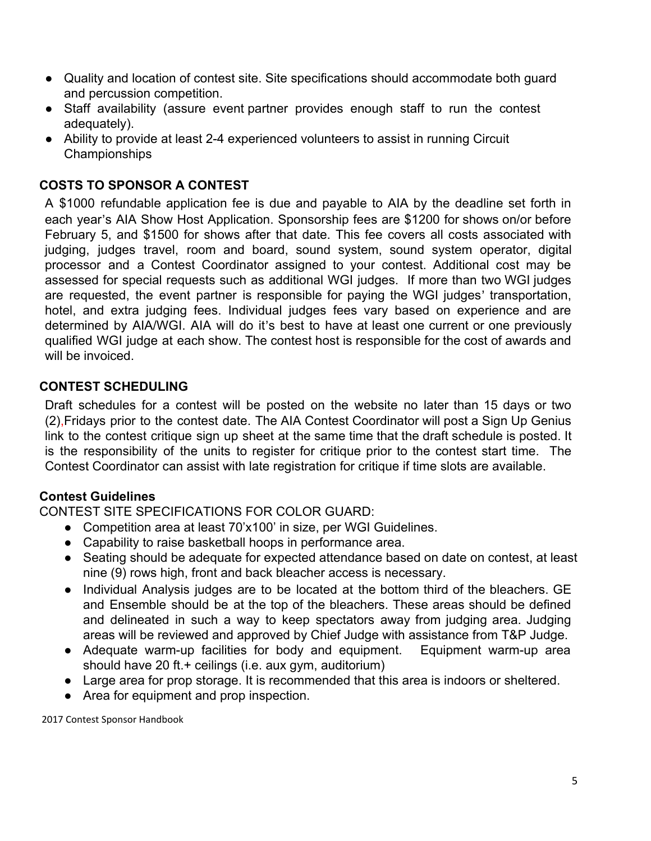- Quality and location of contest site. Site specifications should accommodate both guard and percussion competition.
- Staff availability (assure event partner provides enough staff to run the contest adequately).
- Ability to provide at least 2-4 experienced volunteers to assist in running Circuit Championships

#### **COSTS TO SPONSOR A CONTEST**

A \$1000 refundable application fee is due and payable to AIA by the deadline set forth in each year's AIA Show Host Application. Sponsorship fees are \$1200 for shows on/or before February 5, and \$1500 for shows after that date. This fee covers all costs associated with judging, judges travel, room and board, sound system, sound system operator, digital processor and a Contest Coordinator assigned to your contest. Additional cost may be assessed for special requests such as additional WGI judges. If more than two WGI judges are requested, the event partner is responsible for paying the WGI judges' transportation, hotel, and extra judging fees. Individual judges fees vary based on experience and are determined by AIA/WGI. AIA will do it's best to have at least one current or one previously qualified WGI judge at each show. The contest host is responsible for the cost of awards and will be invoiced.

#### **CONTEST SCHEDULING**

Draft schedules for a contest will be posted on the website no later than 15 days or two (2),Fridays prior to the contest date. The AIA Contest Coordinator will post a Sign Up Genius link to the contest critique sign up sheet at the same time that the draft schedule is posted. It is the responsibility of the units to register for critique prior to the contest start time. The Contest Coordinator can assist with late registration for critique if time slots are available.

#### **Contest Guidelines**

CONTEST SITE SPECIFICATIONS FOR COLOR GUARD:

- Competition area at least 70'x100' in size, per WGI Guidelines.
- Capability to raise basketball hoops in performance area.
- Seating should be adequate for expected attendance based on date on contest, at least nine (9) rows high, front and back bleacher access is necessary.
- Individual Analysis judges are to be located at the bottom third of the bleachers. GE and Ensemble should be at the top of the bleachers. These areas should be defined and delineated in such a way to keep spectators away from judging area. Judging areas will be reviewed and approved by Chief Judge with assistance from T&P Judge.
- Adequate warm-up facilities for body and equipment. Equipment warm-up area should have 20 ft.+ ceilings (i.e. aux gym, auditorium)
- Large area for prop storage. It is recommended that this area is indoors or sheltered.
- Area for equipment and prop inspection.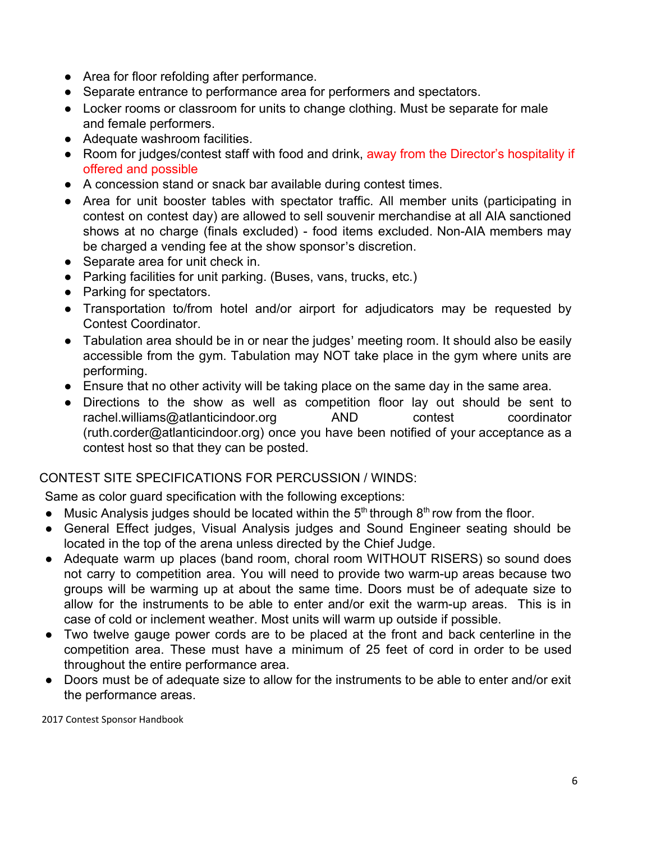- Area for floor refolding after performance.
- Separate entrance to performance area for performers and spectators.
- Locker rooms or classroom for units to change clothing. Must be separate for male and female performers.
- Adequate washroom facilities.
- Room for judges/contest staff with food and drink, away from the Director's hospitality if offered and possible
- A concession stand or snack bar available during contest times.
- Area for unit booster tables with spectator traffic. All member units (participating in contest on contest day) are allowed to sell souvenir merchandise at all AIA sanctioned shows at no charge (finals excluded) - food items excluded. Non-AIA members may be charged a vending fee at the show sponsor's discretion.
- Separate area for unit check in.
- Parking facilities for unit parking. (Buses, vans, trucks, etc.)
- Parking for spectators.
- Transportation to/from hotel and/or airport for adjudicators may be requested by Contest Coordinator.
- Tabulation area should be in or near the judges' meeting room. It should also be easily accessible from the gym. Tabulation may NOT take place in the gym where units are performing.
- Ensure that no other activity will be taking place on the same day in the same area.
- Directions to the show as well as competition floor lay out should be sent to rachel.williams@atlanticindoor.org AND contest coordinator (ruth.corder@atlanticindoor.org) once you have been notified of your acceptance as a contest host so that they can be posted.

#### CONTEST SITE SPECIFICATIONS FOR PERCUSSION / WINDS:

Same as color guard specification with the following exceptions:

- $\bullet$  Music Analysis judges should be located within the 5<sup>th</sup> through 8<sup>th</sup> row from the floor.
- General Effect judges, Visual Analysis judges and Sound Engineer seating should be located in the top of the arena unless directed by the Chief Judge.
- Adequate warm up places (band room, choral room WITHOUT RISERS) so sound does not carry to competition area. You will need to provide two warm-up areas because two groups will be warming up at about the same time. Doors must be of adequate size to allow for the instruments to be able to enter and/or exit the warm-up areas. This is in case of cold or inclement weather. Most units will warm up outside if possible.
- Two twelve gauge power cords are to be placed at the front and back centerline in the competition area. These must have a minimum of 25 feet of cord in order to be used throughout the entire performance area.
- Doors must be of adequate size to allow for the instruments to be able to enter and/or exit the performance areas.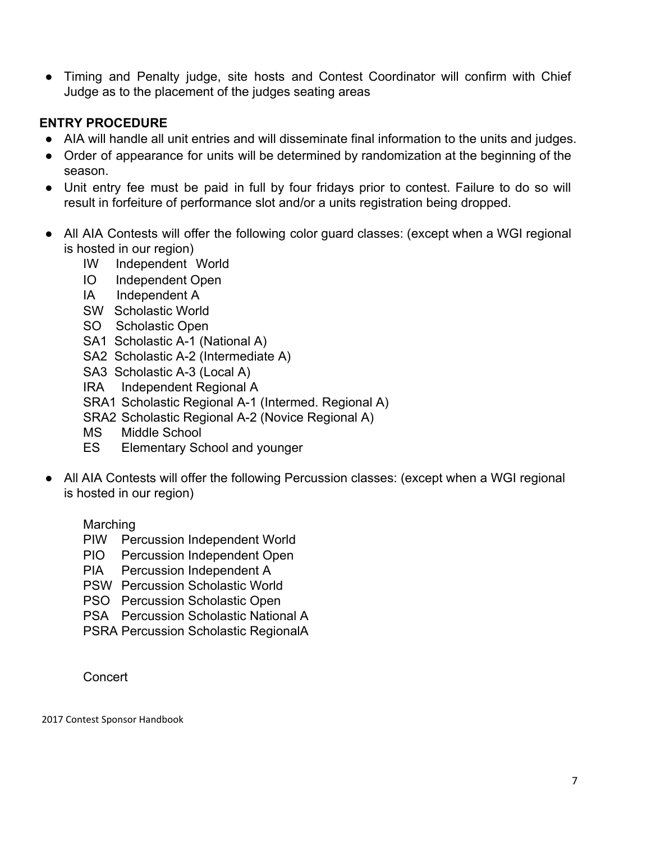• Timing and Penalty judge, site hosts and Contest Coordinator will confirm with Chief Judge as to the placement of the judges seating areas

#### **ENTRY PROCEDURE**

- AIA will handle all unit entries and will disseminate final information to the units and judges.
- Order of appearance for units will be determined by randomization at the beginning of the season.
- Unit entry fee must be paid in full by four fridays prior to contest. Failure to do so will result in forfeiture of performance slot and/or a units registration being dropped.
- All AIA Contests will offer the following color guard classes: (except when a WGI regional is hosted in our region)
	- IW Independent World
	- IO Independent Open
	- IA Independent A
	- SW Scholastic World
	- SO Scholastic Open
	- SA1 Scholastic A-1 (National A)
	- SA2 Scholastic A-2 (Intermediate A)
	- SA3 Scholastic A-3 (Local A)
	- IRA Independent Regional A
	- SRA1 Scholastic Regional A-1 (Intermed. Regional A)
	- SRA2 Scholastic Regional A-2 (Novice Regional A)
	- MS Middle School
	- ES Elementary School and younger
- All AIA Contests will offer the following Percussion classes: (except when a WGI regional is hosted in our region)

#### Marching

- PIW Percussion Independent World
- PIO Percussion Independent Open
- PIA Percussion Independent A
- PSW Percussion Scholastic World
- PSO Percussion Scholastic Open
- PSA Percussion Scholastic National A
- PSRA Percussion Scholastic RegionalA

Concert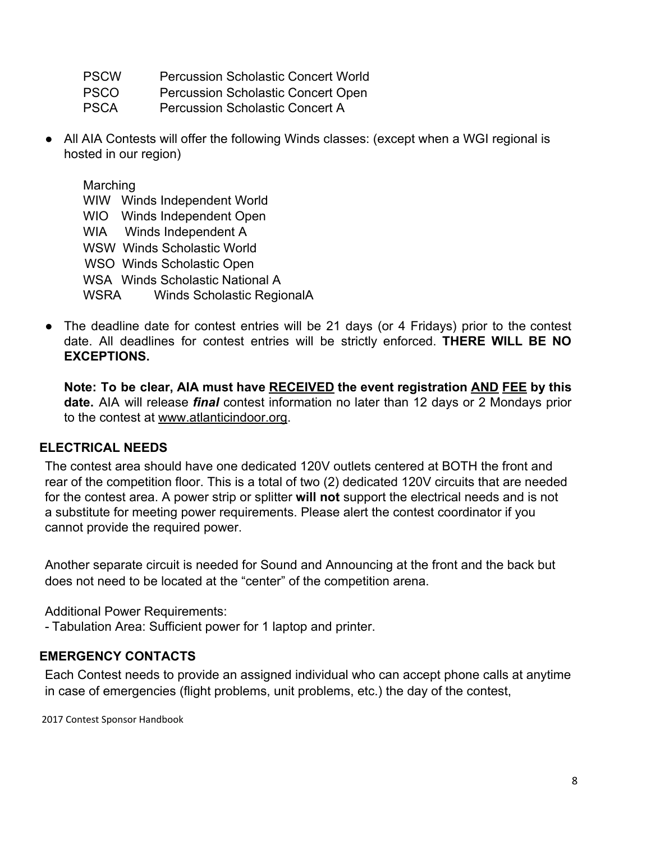- PSCW Percussion Scholastic Concert World
- PSCO Percussion Scholastic Concert Open
- PSCA Percussion Scholastic Concert A
- All AIA Contests will offer the following Winds classes: (except when a WGI regional is hosted in our region)

Marching WIW Winds Independent World WIO Winds Independent Open WIA Winds Independent A WSW Winds Scholastic World WSO Winds Scholastic Open WSA Winds Scholastic National A WSRA Winds Scholastic RegionalA

• The deadline date for contest entries will be 21 days (or 4 Fridays) prior to the contest date. All deadlines for contest entries will be strictly enforced. **THERE WILL BE NO EXCEPTIONS.**

**Note: To be clear, AIA must have RECEIVED the event registration AND FEE by this date.** AIA will release *final* contest information no later than 12 days or 2 Mondays prior to the contest at [www.atlanticindoor.org](http://www.atlanticindoor.org/).

#### **ELECTRICAL NEEDS**

The contest area should have one dedicated 120V outlets centered at BOTH the front and rear of the competition floor. This is a total of two (2) dedicated 120V circuits that are needed for the contest area. A power strip or splitter **will not** support the electrical needs and is not a substitute for meeting power requirements. Please alert the contest coordinator if you cannot provide the required power.

Another separate circuit is needed for Sound and Announcing at the front and the back but does not need to be located at the "center" of the competition arena.

Additional Power Requirements:

- Tabulation Area: Sufficient power for 1 laptop and printer.

#### **EMERGENCY CONTACTS**

Each Contest needs to provide an assigned individual who can accept phone calls at anytime in case of emergencies (flight problems, unit problems, etc.) the day of the contest,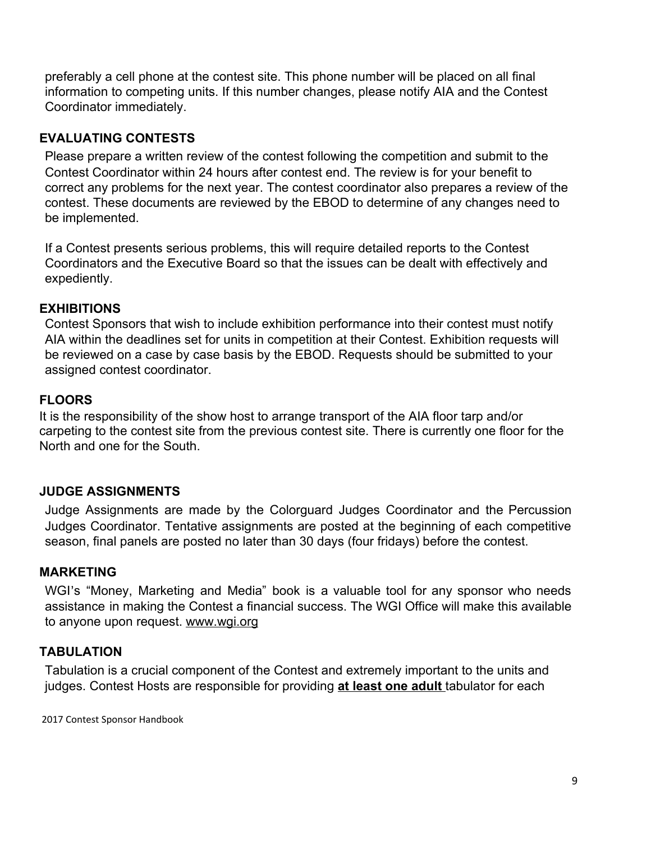preferably a cell phone at the contest site. This phone number will be placed on all final information to competing units. If this number changes, please notify AIA and the Contest Coordinator immediately.

#### **EVALUATING CONTESTS**

Please prepare a written review of the contest following the competition and submit to the Contest Coordinator within 24 hours after contest end. The review is for your benefit to correct any problems for the next year. The contest coordinator also prepares a review of the contest. These documents are reviewed by the EBOD to determine of any changes need to be implemented.

If a Contest presents serious problems, this will require detailed reports to the Contest Coordinators and the Executive Board so that the issues can be dealt with effectively and expediently.

#### **EXHIBITIONS**

Contest Sponsors that wish to include exhibition performance into their contest must notify AIA within the deadlines set for units in competition at their Contest. Exhibition requests will be reviewed on a case by case basis by the EBOD. Requests should be submitted to your assigned contest coordinator.

#### **FLOORS**

It is the responsibility of the show host to arrange transport of the AIA floor tarp and/or carpeting to the contest site from the previous contest site. There is currently one floor for the North and one for the South.

#### **JUDGE ASSIGNMENTS**

Judge Assignments are made by the Colorguard Judges Coordinator and the Percussion Judges Coordinator. Tentative assignments are posted at the beginning of each competitive season, final panels are posted no later than 30 days (four fridays) before the contest.

#### **MARKETING**

WGI's "Money, Marketing and Media" book is a valuable tool for any sponsor who needs assistance in making the Contest a financial success. The WGI Office will make this available to anyone upon request. [www.wgi.org](http://www.wgi.org/)

#### **TABULATION**

Tabulation is a crucial component of the Contest and extremely important to the units and judges. Contest Hosts are responsible for providing **at least one adult** tabulator for each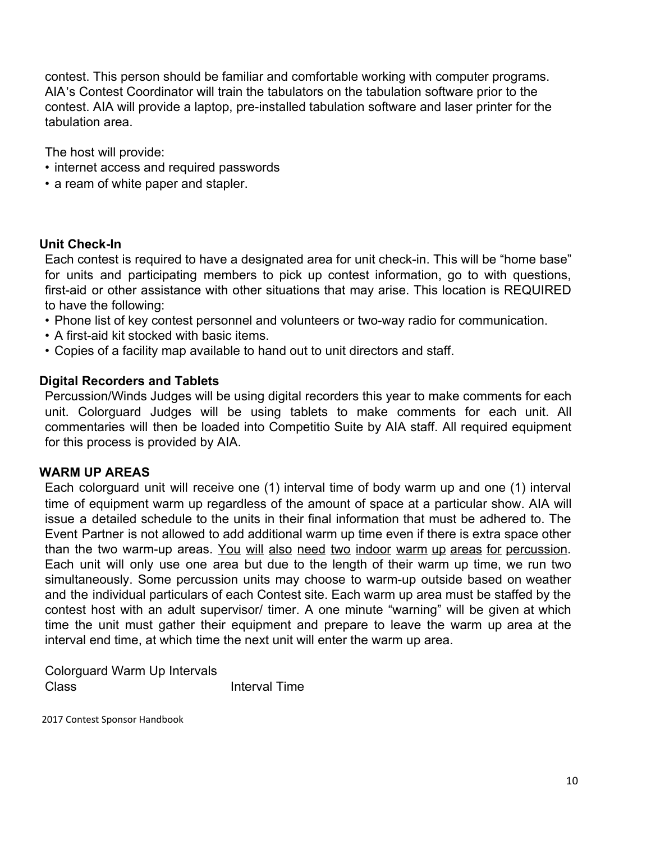contest. This person should be familiar and comfortable working with computer programs. AIA's Contest Coordinator will train the tabulators on the tabulation software prior to the contest. AIA will provide a laptop, pre-installed tabulation software and laser printer for the tabulation area.

The host will provide:

- internet access and required passwords
- a ream of white paper and stapler.

#### **Unit Check-In**

Each contest is required to have a designated area for unit check-in. This will be "home base" for units and participating members to pick up contest information, go to with questions, first-aid or other assistance with other situations that may arise. This location is REQUIRED to have the following:

- Phone list of key contest personnel and volunteers or two-way radio for communication.
- A first-aid kit stocked with basic items.
- Copies of a facility map available to hand out to unit directors and staff.

#### **Digital Recorders and Tablets**

Percussion/Winds Judges will be using digital recorders this year to make comments for each unit. Colorguard Judges will be using tablets to make comments for each unit. All commentaries will then be loaded into Competitio Suite by AIA staff. All required equipment for this process is provided by AIA.

#### **WARM UP AREAS**

Each colorguard unit will receive one (1) interval time of body warm up and one (1) interval time of equipment warm up regardless of the amount of space at a particular show. AIA will issue a detailed schedule to the units in their final information that must be adhered to. The Event Partner is not allowed to add additional warm up time even if there is extra space other than the two warm-up areas. You will also need two indoor warm up areas for percussion. Each unit will only use one area but due to the length of their warm up time, we run two simultaneously. Some percussion units may choose to warm-up outside based on weather and the individual particulars of each Contest site. Each warm up area must be staffed by the contest host with an adult supervisor/ timer. A one minute "warning" will be given at which time the unit must gather their equipment and prepare to leave the warm up area at the interval end time, at which time the next unit will enter the warm up area.

Colorguard Warm Up Intervals Class Interval Time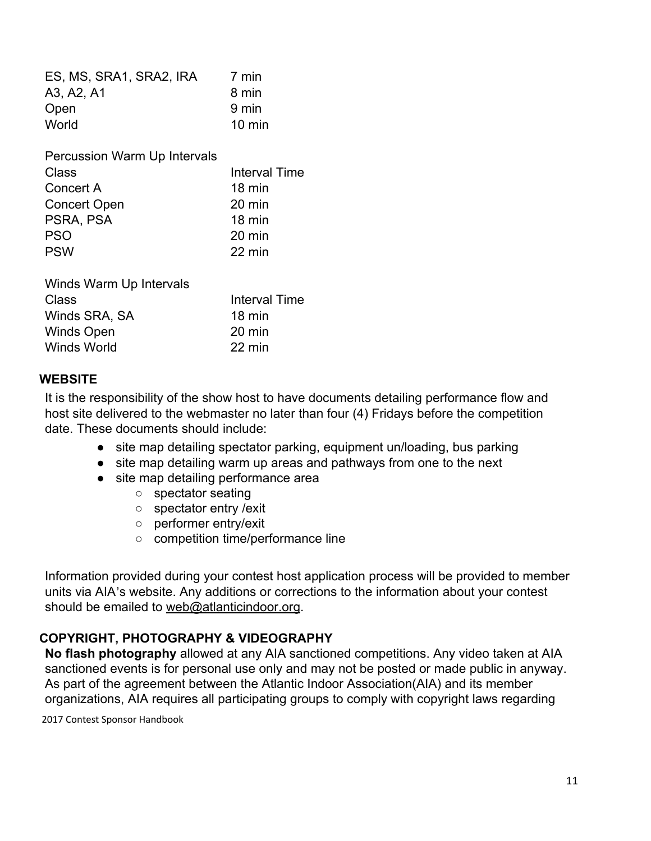| ES, MS, SRA1, SRA2, IRA      | 7 min            |
|------------------------------|------------------|
| A3, A2, A1                   | 8 min            |
| Open                         | 9 min            |
| World                        | $10 \text{ min}$ |
| Percussion Warm Up Intervals |                  |
| Class                        | Interval Time    |
| Concert A                    | 18 min           |
| <b>Concert Open</b>          | 20 min           |
| PSRA, PSA                    | $18 \text{ min}$ |
| <b>PSO</b>                   | 20 min           |
| <b>PSW</b>                   | 22 min           |
| Winds Warm Up Intervals      |                  |
| Class                        | Interval Time    |
| Winds SRA, SA                | 18 min           |
| Winds Open                   | 20 min           |
| Winds World                  | 22 min           |

#### **WEBSITE**

It is the responsibility of the show host to have documents detailing performance flow and host site delivered to the webmaster no later than four (4) Fridays before the competition date. These documents should include:

- site map detailing spectator parking, equipment un/loading, bus parking
- site map detailing warm up areas and pathways from one to the next
- site map detailing performance area
	- spectator seating
	- spectator entry /exit
	- performer entry/exit
	- competition time/performance line

Information provided during your contest host application process will be provided to member units via AIA's website. Any additions or corrections to the information about your contest should be emailed to [web@atlanticindoor.org.](mailto:web@atlanticindoor.org)

#### **COPYRIGHT, PHOTOGRAPHY & VIDEOGRAPHY**

**No flash photography** allowed at any AIA sanctioned competitions. Any video taken at AIA sanctioned events is for personal use only and may not be posted or made public in anyway. As part of the agreement between the Atlantic Indoor Association(AIA) and its member organizations, AIA requires all participating groups to comply with copyright laws regarding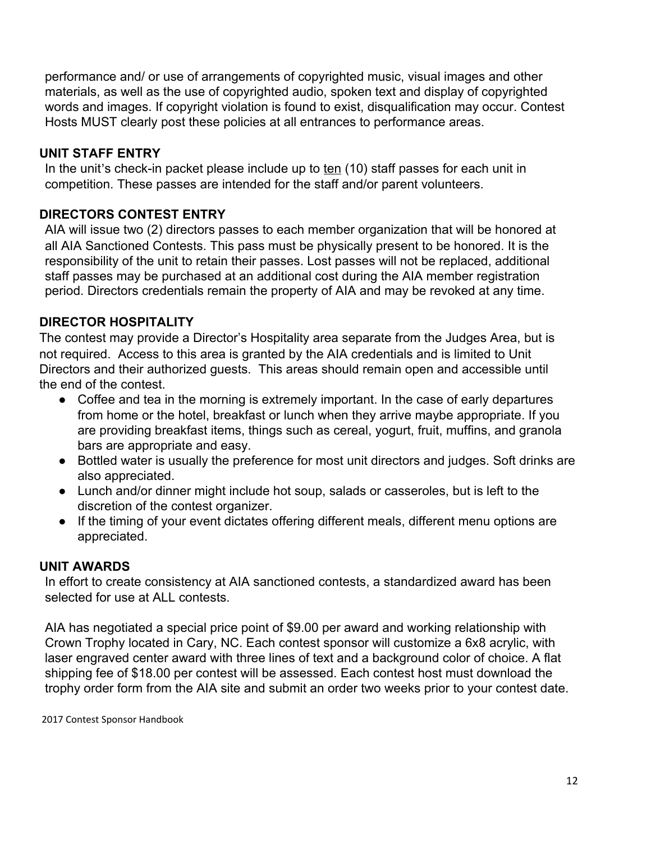performance and/ or use of arrangements of copyrighted music, visual images and other materials, as well as the use of copyrighted audio, spoken text and display of copyrighted words and images. If copyright violation is found to exist, disqualification may occur. Contest Hosts MUST clearly post these policies at all entrances to performance areas.

#### **UNIT STAFF ENTRY**

In the unit's check-in packet please include up to ten (10) staff passes for each unit in competition. These passes are intended for the staff and/or parent volunteers.

#### **DIRECTORS CONTEST ENTRY**

AIA will issue two (2) directors passes to each member organization that will be honored at all AIA Sanctioned Contests. This pass must be physically present to be honored. It is the responsibility of the unit to retain their passes. Lost passes will not be replaced, additional staff passes may be purchased at an additional cost during the AIA member registration period. Directors credentials remain the property of AIA and may be revoked at any time.

#### **DIRECTOR HOSPITALITY**

The contest may provide a Director's Hospitality area separate from the Judges Area, but is not required. Access to this area is granted by the AIA credentials and is limited to Unit Directors and their authorized guests. This areas should remain open and accessible until the end of the contest.

- Coffee and tea in the morning is extremely important. In the case of early departures from home or the hotel, breakfast or lunch when they arrive maybe appropriate. If you are providing breakfast items, things such as cereal, yogurt, fruit, muffins, and granola bars are appropriate and easy.
- Bottled water is usually the preference for most unit directors and judges. Soft drinks are also appreciated.
- Lunch and/or dinner might include hot soup, salads or casseroles, but is left to the discretion of the contest organizer.
- If the timing of your event dictates offering different meals, different menu options are appreciated.

#### **UNIT AWARDS**

In effort to create consistency at AIA sanctioned contests, a standardized award has been selected for use at ALL contests.

AIA has negotiated a special price point of \$9.00 per award and working relationship with Crown Trophy located in Cary, NC. Each contest sponsor will customize a 6x8 acrylic, with laser engraved center award with three lines of text and a background color of choice. A flat shipping fee of \$18.00 per contest will be assessed. Each contest host must download the trophy order form from the AIA site and submit an order two weeks prior to your contest date.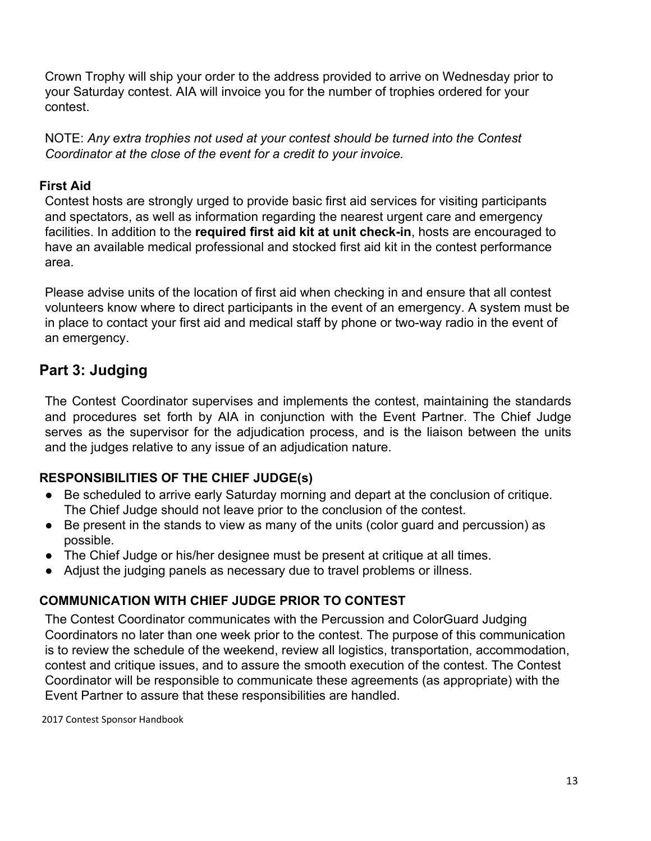Crown Trophy will ship your order to the address provided to arrive on Wednesday prior to your Saturday contest. AIA will invoice you for the number of trophies ordered for your contest.

NOTE: *Any extra trophies not used at your contest should be turned into the Contest Coordinator at the close of the event for a credit to your invoice.*

#### **First Aid**

Contest hosts are strongly urged to provide basic first aid services for visiting participants and spectators, as well as information regarding the nearest urgent care and emergency facilities. In addition to the **required first aid kit at unit check-in**, hosts are encouraged to have an available medical professional and stocked first aid kit in the contest performance area.

Please advise units of the location of first aid when checking in and ensure that all contest volunteers know where to direct participants in the event of an emergency. A system must be in place to contact your first aid and medical staff by phone or two-way radio in the event of an emergency.

### **Part 3: Judging**

The Contest Coordinator supervises and implements the contest, maintaining the standards and procedures set forth by AIA in conjunction with the Event Partner. The Chief Judge serves as the supervisor for the adjudication process, and is the liaison between the units and the judges relative to any issue of an adjudication nature.

#### **RESPONSIBILITIES OF THE CHIEF JUDGE(s)**

- Be scheduled to arrive early Saturday morning and depart at the conclusion of critique. The Chief Judge should not leave prior to the conclusion of the contest.
- Be present in the stands to view as many of the units (color guard and percussion) as possible.
- The Chief Judge or his/her designee must be present at critique at all times.
- Adjust the judging panels as necessary due to travel problems or illness.

#### **COMMUNICATION WITH CHIEF JUDGE PRIOR TO CONTEST**

The Contest Coordinator communicates with the Percussion and ColorGuard Judging Coordinators no later than one week prior to the contest. The purpose of this communication is to review the schedule of the weekend, review all logistics, transportation, accommodation, contest and critique issues, and to assure the smooth execution of the contest. The Contest Coordinator will be responsible to communicate these agreements (as appropriate) with the Event Partner to assure that these responsibilities are handled.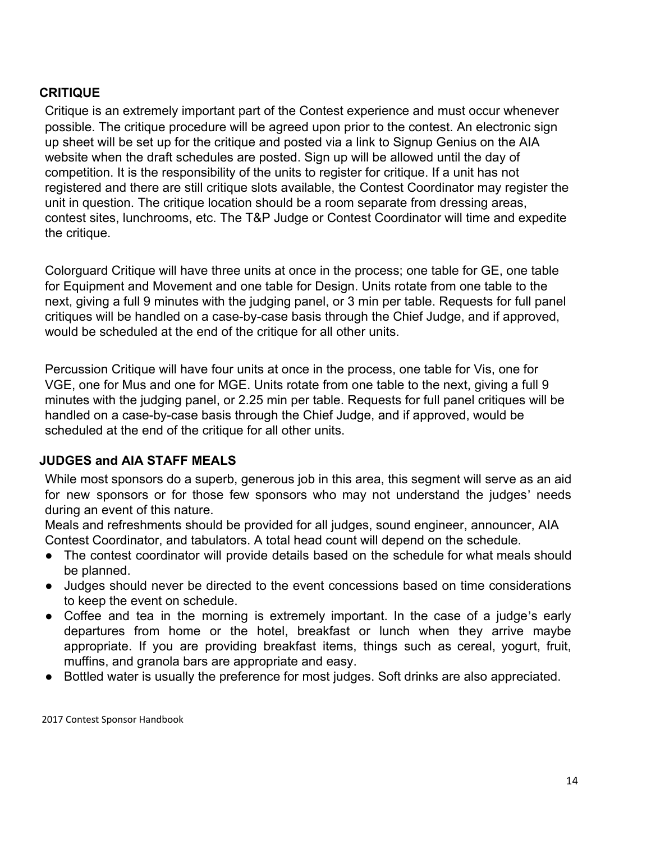#### **CRITIQUE**

Critique is an extremely important part of the Contest experience and must occur whenever possible. The critique procedure will be agreed upon prior to the contest. An electronic sign up sheet will be set up for the critique and posted via a link to Signup Genius on the AIA website when the draft schedules are posted. Sign up will be allowed until the day of competition. It is the responsibility of the units to register for critique. If a unit has not registered and there are still critique slots available, the Contest Coordinator may register the unit in question. The critique location should be a room separate from dressing areas, contest sites, lunchrooms, etc. The T&P Judge or Contest Coordinator will time and expedite the critique.

Colorguard Critique will have three units at once in the process; one table for GE, one table for Equipment and Movement and one table for Design. Units rotate from one table to the next, giving a full 9 minutes with the judging panel, or 3 min per table. Requests for full panel critiques will be handled on a case-by-case basis through the Chief Judge, and if approved, would be scheduled at the end of the critique for all other units.

Percussion Critique will have four units at once in the process, one table for Vis, one for VGE, one for Mus and one for MGE. Units rotate from one table to the next, giving a full 9 minutes with the judging panel, or 2.25 min per table. Requests for full panel critiques will be handled on a case-by-case basis through the Chief Judge, and if approved, would be scheduled at the end of the critique for all other units.

#### **JUDGES and AIA STAFF MEALS**

While most sponsors do a superb, generous job in this area, this segment will serve as an aid for new sponsors or for those few sponsors who may not understand the judges' needs during an event of this nature.

Meals and refreshments should be provided for all judges, sound engineer, announcer, AIA Contest Coordinator, and tabulators. A total head count will depend on the schedule.

- The contest coordinator will provide details based on the schedule for what meals should be planned.
- Judges should never be directed to the event concessions based on time considerations to keep the event on schedule.
- Coffee and tea in the morning is extremely important. In the case of a judge's early departures from home or the hotel, breakfast or lunch when they arrive maybe appropriate. If you are providing breakfast items, things such as cereal, yogurt, fruit, muffins, and granola bars are appropriate and easy.
- Bottled water is usually the preference for most judges. Soft drinks are also appreciated.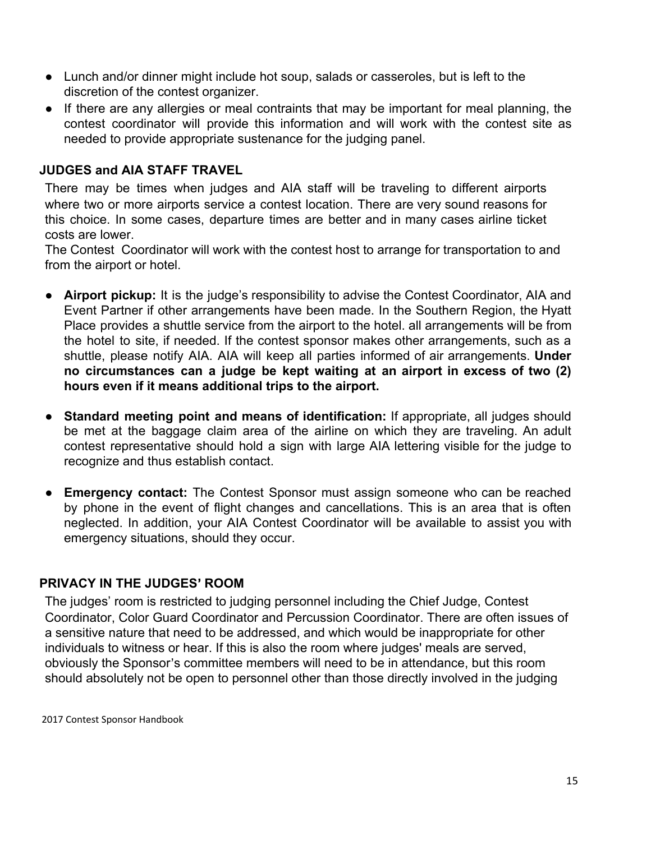- Lunch and/or dinner might include hot soup, salads or casseroles, but is left to the discretion of the contest organizer.
- If there are any allergies or meal contraints that may be important for meal planning, the contest coordinator will provide this information and will work with the contest site as needed to provide appropriate sustenance for the judging panel.

#### **JUDGES and AIA STAFF TRAVEL**

There may be times when judges and AIA staff will be traveling to different airports where two or more airports service a contest location. There are very sound reasons for this choice. In some cases, departure times are better and in many cases airline ticket costs are lower.

The Contest Coordinator will work with the contest host to arrange for transportation to and from the airport or hotel.

- **Airport pickup:** It is the judge's responsibility to advise the Contest Coordinator, AIA and Event Partner if other arrangements have been made. In the Southern Region, the Hyatt Place provides a shuttle service from the airport to the hotel. all arrangements will be from the hotel to site, if needed. If the contest sponsor makes other arrangements, such as a shuttle, please notify AIA. AIA will keep all parties informed of air arrangements. **Under no circumstances can a judge be kept waiting at an airport in excess of two (2) hours even if it means additional trips to the airport.**
- **Standard meeting point and means of identification:** If appropriate, all judges should be met at the baggage claim area of the airline on which they are traveling. An adult contest representative should hold a sign with large AIA lettering visible for the judge to recognize and thus establish contact.
- **Emergency contact:** The Contest Sponsor must assign someone who can be reached by phone in the event of flight changes and cancellations. This is an area that is often neglected. In addition, your AIA Contest Coordinator will be available to assist you with emergency situations, should they occur.

#### **PRIVACY IN THE JUDGES**' **ROOM**

The judges' room is restricted to judging personnel including the Chief Judge, Contest Coordinator, Color Guard Coordinator and Percussion Coordinator. There are often issues of a sensitive nature that need to be addressed, and which would be inappropriate for other individuals to witness or hear. If this is also the room where judges' meals are served, obviously the Sponsor's committee members will need to be in attendance, but this room should absolutely not be open to personnel other than those directly involved in the judging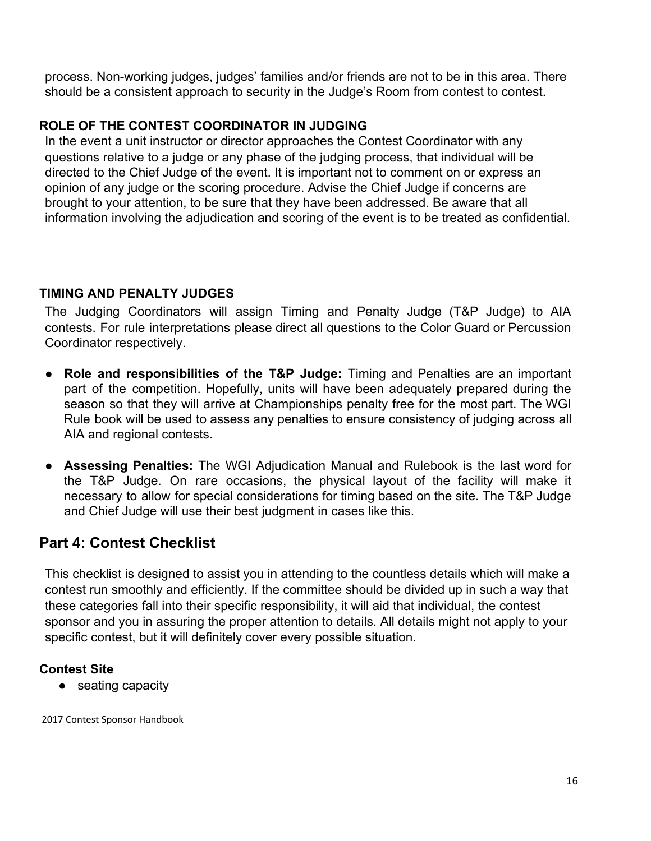process. Non-working judges, judges' families and/or friends are not to be in this area. There should be a consistent approach to security in the Judge's Room from contest to contest.

#### **ROLE OF THE CONTEST COORDINATOR IN JUDGING**

In the event a unit instructor or director approaches the Contest Coordinator with any questions relative to a judge or any phase of the judging process, that individual will be directed to the Chief Judge of the event. It is important not to comment on or express an opinion of any judge or the scoring procedure. Advise the Chief Judge if concerns are brought to your attention, to be sure that they have been addressed. Be aware that all information involving the adjudication and scoring of the event is to be treated as confidential.

#### **TIMING AND PENALTY JUDGES**

The Judging Coordinators will assign Timing and Penalty Judge (T&P Judge) to AIA contests. For rule interpretations please direct all questions to the Color Guard or Percussion Coordinator respectively.

- **Role and responsibilities of the T&P Judge:** Timing and Penalties are an important part of the competition. Hopefully, units will have been adequately prepared during the season so that they will arrive at Championships penalty free for the most part. The WGI Rule book will be used to assess any penalties to ensure consistency of judging across all AIA and regional contests.
- **Assessing Penalties:** The WGI Adjudication Manual and Rulebook is the last word for the T&P Judge. On rare occasions, the physical layout of the facility will make it necessary to allow for special considerations for timing based on the site. The T&P Judge and Chief Judge will use their best judgment in cases like this.

### **Part 4: Contest Checklist**

This checklist is designed to assist you in attending to the countless details which will make a contest run smoothly and efficiently. If the committee should be divided up in such a way that these categories fall into their specific responsibility, it will aid that individual, the contest sponsor and you in assuring the proper attention to details. All details might not apply to your specific contest, but it will definitely cover every possible situation.

#### **Contest Site**

● seating capacity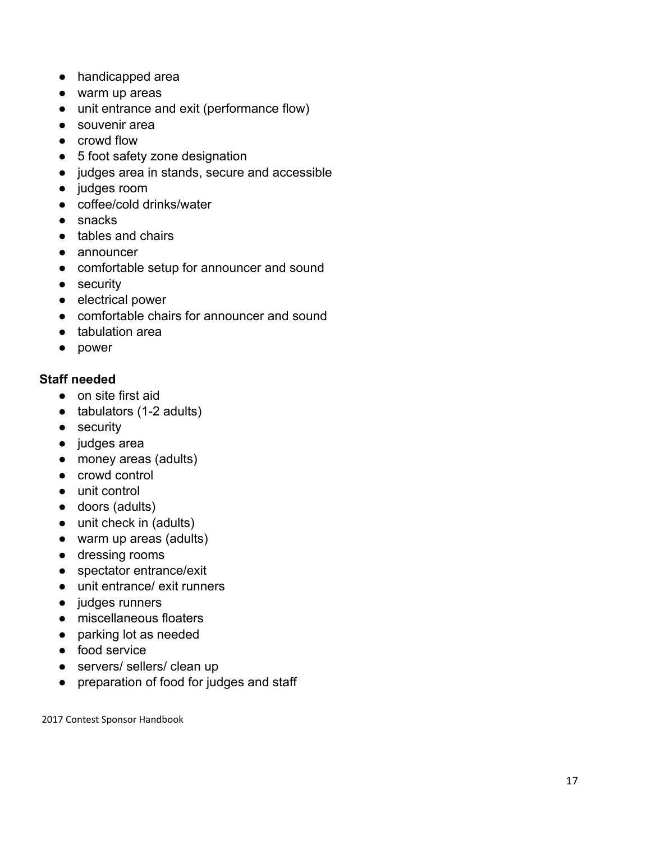- handicapped area
- warm up areas
- unit entrance and exit (performance flow)
- souvenir area
- crowd flow
- 5 foot safety zone designation
- judges area in stands, secure and accessible
- judges room
- coffee/cold drinks/water
- snacks
- tables and chairs
- announcer
- comfortable setup for announcer and sound
- security
- electrical power
- comfortable chairs for announcer and sound
- tabulation area
- power

#### **Staff needed**

- on site first aid
- tabulators (1-2 adults)
- security
- judges area
- money areas (adults)
- crowd control
- unit control
- doors (adults)
- unit check in (adults)
- warm up areas (adults)
- dressing rooms
- spectator entrance/exit
- unit entrance/ exit runners
- judges runners
- miscellaneous floaters
- parking lot as needed
- food service
- servers/ sellers/ clean up
- preparation of food for judges and staff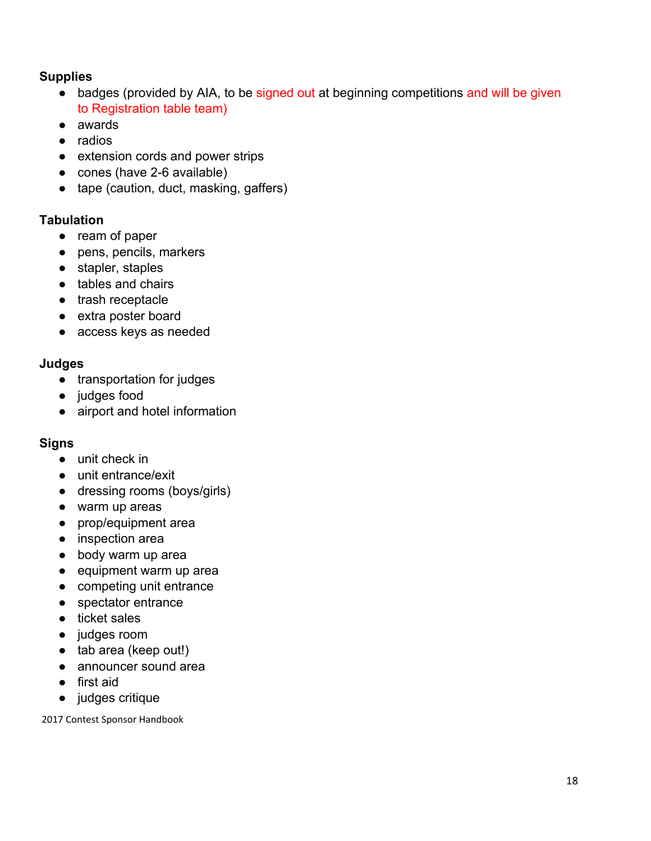#### **Supplies**

- badges (provided by AIA, to be signed out at beginning competitions and will be given to Registration table team)
- awards
- radios
- extension cords and power strips
- cones (have 2-6 available)
- tape (caution, duct, masking, gaffers)

#### **Tabulation**

- ream of paper
- pens, pencils, markers
- stapler, staples
- tables and chairs
- trash receptacle
- extra poster board
- access keys as needed

#### **Judges**

- transportation for judges
- judges food
- airport and hotel information

#### **Signs**

- unit check in
- unit entrance/exit
- dressing rooms (boys/girls)
- warm up areas
- prop/equipment area
- inspection area
- body warm up area
- equipment warm up area
- competing unit entrance
- spectator entrance
- ticket sales
- judges room
- tab area (keep out!)
- announcer sound area
- first aid
- judges critique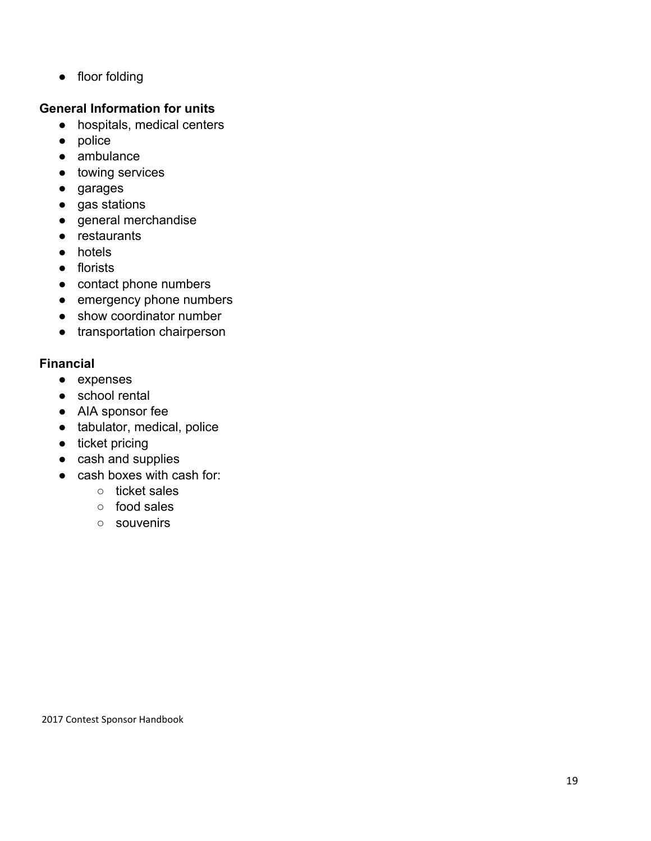● floor folding

#### **General Information for units**

- hospitals, medical centers
- police
- ambulance
- towing services
- garages
- gas stations
- general merchandise
- restaurants
- hotels
- florists
- contact phone numbers
- emergency phone numbers
- show coordinator number
- transportation chairperson

#### **Financial**

- expenses
- school rental
- AIA sponsor fee
- tabulator, medical, police
- ticket pricing
- cash and supplies
- cash boxes with cash for:
	- ticket sales
	- food sales
	- souvenirs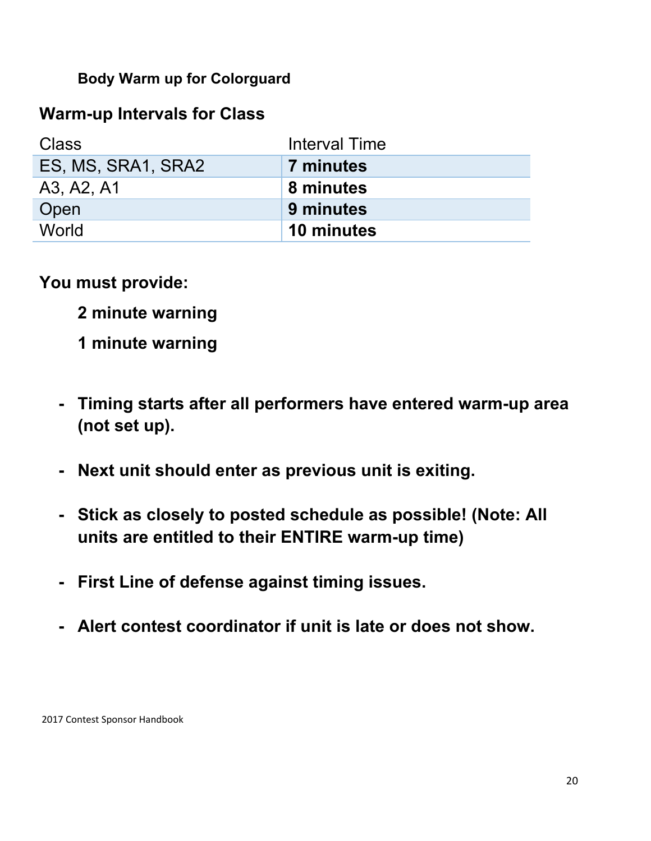**Body Warm up for Colorguard**

### **Warm-up Intervals for Class**

| Class              | Interval Time |
|--------------------|---------------|
| ES, MS, SRA1, SRA2 | 7 minutes     |
| A3, A2, A1         | 8 minutes     |
| Open               | 9 minutes     |
| World              | 10 minutes    |

**You must provide:**

- **2 minute warning**
- **1 minute warning**
- **- Timing starts after all performers have entered warm-up area (not set up).**
- **- Next unit should enter as previous unit is exiting.**
- **- Stick as closely to posted schedule as possible! (Note: All units are entitled to their ENTIRE warm-up time)**
- **- First Line of defense against timing issues.**
- **- Alert contest coordinator if unit is late or does not show.**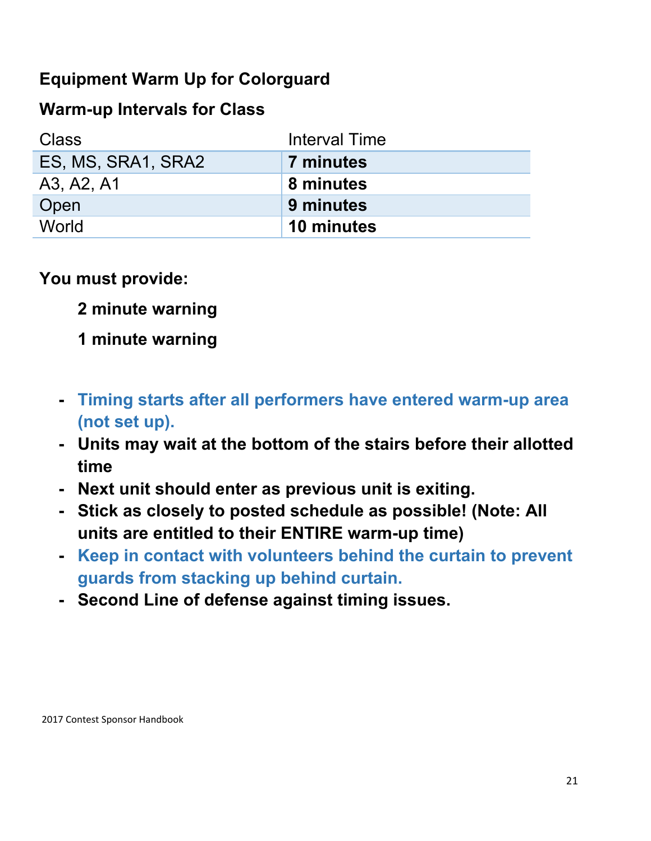## **Equipment Warm Up for Colorguard**

### **Warm-up Intervals for Class**

| Class              | <b>Interval Time</b> |
|--------------------|----------------------|
| ES, MS, SRA1, SRA2 | 7 minutes            |
| A3, A2, A1         | 8 minutes            |
| Open               | 9 minutes            |
| World              | 10 minutes           |

**You must provide:**

**2 minute warning**

## **1 minute warning**

- **- Timing starts after all performers have entered warm-up area (not set up).**
- **- Units may wait at the bottom of the stairs before their allotted time**
- **- Next unit should enter as previous unit is exiting.**
- **- Stick as closely to posted schedule as possible! (Note: All units are entitled to their ENTIRE warm-up time)**
- **- Keep in contact with volunteers behind the curtain to prevent guards from stacking up behind curtain.**
- **- Second Line of defense against timing issues.**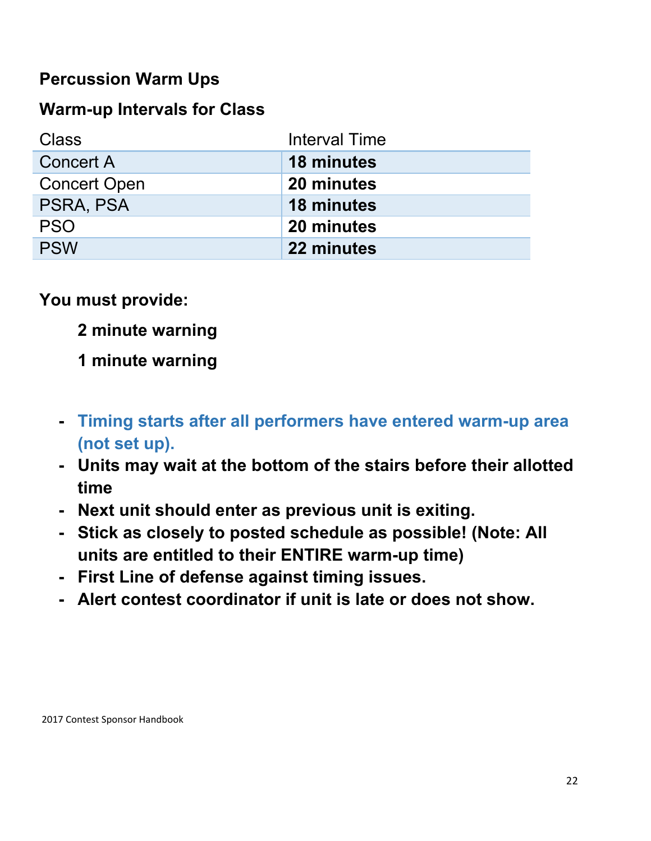## **Percussion Warm Ups**

### **Warm-up Intervals for Class**

| Class               | <b>Interval Time</b> |
|---------------------|----------------------|
| <b>Concert A</b>    | <b>18 minutes</b>    |
| <b>Concert Open</b> | 20 minutes           |
| PSRA, PSA           | 18 minutes           |
| <b>PSO</b>          | 20 minutes           |
| <b>PSW</b>          | 22 minutes           |

**You must provide:**

- **2 minute warning**
- **1 minute warning**
- **- Timing starts after all performers have entered warm-up area (not set up).**
- **- Units may wait at the bottom of the stairs before their allotted time**
- **- Next unit should enter as previous unit is exiting.**
- **- Stick as closely to posted schedule as possible! (Note: All units are entitled to their ENTIRE warm-up time)**
- **- First Line of defense against timing issues.**
- **- Alert contest coordinator if unit is late or does not show.**